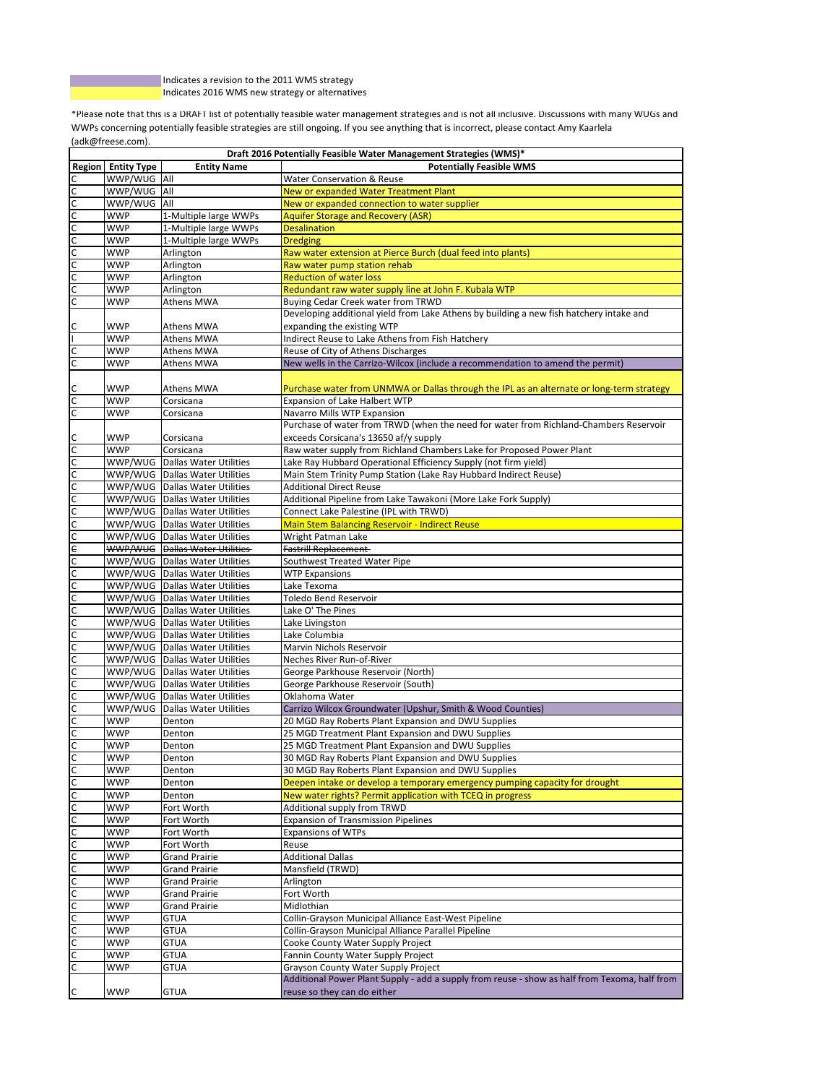Indicates a revision to the 2011 WMS strategy Indicates 2016 WMS new strategy or alternatives

I.

\*Please note that this is a DRAFT list of potentially feasible water management strategies and is not all inclusive. Discussions with many WUGs and WWPs concerning potentially feasible strategies are still ongoing. If you see anything that is incorrect, please contact Amy Kaarlela (adk@freese.com).

| Draft 2016 Potentially Feasible Water Management Strategies (WMS)* |                           |                                       |                                                                                                                               |
|--------------------------------------------------------------------|---------------------------|---------------------------------------|-------------------------------------------------------------------------------------------------------------------------------|
|                                                                    | <b>Region Entity Type</b> | <b>Entity Name</b>                    | <b>Potentially Feasible WMS</b>                                                                                               |
| с                                                                  | WWP/WUG All               |                                       | Water Conservation & Reuse                                                                                                    |
| $\mathsf{C}$                                                       | WWP/WUG All               |                                       | New or expanded Water Treatment Plant                                                                                         |
| $\overline{c}$                                                     | WWP/WUG All               |                                       | New or expanded connection to water supplier                                                                                  |
| $\mathsf{C}$                                                       | <b>WWP</b>                | 1-Multiple large WWPs                 | <b>Aquifer Storage and Recovery (ASR)</b>                                                                                     |
|                                                                    | <b>WWP</b>                | 1-Multiple large WWPs                 | <b>Desalination</b>                                                                                                           |
| $\frac{1}{2}$                                                      | <b>WWP</b>                | 1-Multiple large WWPs                 | <b>Dredging</b>                                                                                                               |
|                                                                    | <b>WWP</b>                | Arlington                             | Raw water extension at Pierce Burch (dual feed into plants)                                                                   |
|                                                                    | <b>WWP</b>                | Arlington                             | Raw water pump station rehab                                                                                                  |
|                                                                    | <b>WWP</b>                | Arlington                             | <b>Reduction of water loss</b>                                                                                                |
| $\mathsf{C}$                                                       | <b>WWP</b>                | Arlington                             | Redundant raw water supply line at John F. Kubala WTP                                                                         |
|                                                                    |                           |                                       |                                                                                                                               |
| $\overline{c}$                                                     | <b>WWP</b>                | Athens MWA                            | Buying Cedar Creek water from TRWD<br>Developing additional yield from Lake Athens by building a new fish hatchery intake and |
|                                                                    |                           |                                       |                                                                                                                               |
| С                                                                  | <b>WWP</b>                | Athens MWA                            | expanding the existing WTP                                                                                                    |
|                                                                    | <b>WWP</b>                | <b>Athens MWA</b>                     | Indirect Reuse to Lake Athens from Fish Hatchery                                                                              |
| с                                                                  | <b>WWP</b>                | <b>Athens MWA</b>                     | Reuse of City of Athens Discharges                                                                                            |
| C                                                                  | <b>WWP</b>                | <b>Athens MWA</b>                     | New wells in the Carrizo-Wilcox (include a recommendation to amend the permit)                                                |
|                                                                    |                           |                                       |                                                                                                                               |
| с                                                                  | WWP                       | Athens MWA                            | Purchase water from UNMWA or Dallas through the IPL as an alternate or long-term strategy                                     |
| $\mathsf{C}$                                                       | <b>WWP</b>                | Corsicana                             | Expansion of Lake Halbert WTP                                                                                                 |
| $\mathsf{C}$                                                       | <b>WWP</b>                | Corsicana                             | Navarro Mills WTP Expansion                                                                                                   |
|                                                                    |                           |                                       | Purchase of water from TRWD (when the need for water from Richland-Chambers Reservoir                                         |
| $\mathsf{C}$                                                       | <b>WWP</b>                | Corsicana                             | exceeds Corsicana's 13650 af/y supply                                                                                         |
| $\overline{c}$                                                     | <b>WWP</b>                | Corsicana                             | Raw water supply from Richland Chambers Lake for Proposed Power Plant                                                         |
| $\overline{C}$                                                     |                           | WWP/WUG Dallas Water Utilities        | Lake Ray Hubbard Operational Efficiency Supply (not firm yield)                                                               |
| $\overline{c}$                                                     |                           | WWP/WUG Dallas Water Utilities        | Main Stem Trinity Pump Station (Lake Ray Hubbard Indirect Reuse)                                                              |
| $\overline{C}$                                                     |                           | WWP/WUG Dallas Water Utilities        | <b>Additional Direct Reuse</b>                                                                                                |
| $\overline{c}$                                                     |                           | WWP/WUG Dallas Water Utilities        | Additional Pipeline from Lake Tawakoni (More Lake Fork Supply)                                                                |
| $\overline{\mathsf{C}}$                                            |                           | WWP/WUG Dallas Water Utilities        | Connect Lake Palestine (IPL with TRWD)                                                                                        |
|                                                                    |                           |                                       |                                                                                                                               |
| $\mathsf{C}$                                                       |                           | WWP/WUG Dallas Water Utilities        | <b>Main Stem Balancing Reservoir - Indirect Reuse</b>                                                                         |
| $\mathsf{C}$                                                       |                           | WWP/WUG Dallas Water Utilities        | Wright Patman Lake                                                                                                            |
| $\epsilon$                                                         |                           | <b>WWP/WUG</b> Dallas Water Utilities | Fastrill Replacement-                                                                                                         |
| C                                                                  |                           | WWP/WUG Dallas Water Utilities        | Southwest Treated Water Pipe                                                                                                  |
| с                                                                  |                           | WWP/WUG Dallas Water Utilities        | <b>WTP Expansions</b>                                                                                                         |
| $\mathsf{C}$                                                       |                           | WWP/WUG Dallas Water Utilities        | Lake Texoma                                                                                                                   |
| C                                                                  |                           | WWP/WUG Dallas Water Utilities        | Toledo Bend Reservoir                                                                                                         |
| $\mathsf{C}$                                                       |                           | WWP/WUG Dallas Water Utilities        | Lake O' The Pines                                                                                                             |
| $\mathsf{C}$                                                       |                           | WWP/WUG Dallas Water Utilities        | Lake Livingston                                                                                                               |
| $\overline{C}$                                                     |                           | WWP/WUG Dallas Water Utilities        | Lake Columbia                                                                                                                 |
| $\overline{c}$                                                     |                           | WWP/WUG Dallas Water Utilities        | Marvin Nichols Reservoir                                                                                                      |
| $\overline{\mathsf{C}}$                                            |                           | WWP/WUG Dallas Water Utilities        | Neches River Run-of-River                                                                                                     |
| $\overline{c}$                                                     |                           | WWP/WUG Dallas Water Utilities        | George Parkhouse Reservoir (North)                                                                                            |
| $\overline{\mathsf{C}}$                                            |                           | WWP/WUG Dallas Water Utilities        | George Parkhouse Reservoir (South)                                                                                            |
| $\mathsf{C}$                                                       |                           | WWP/WUG Dallas Water Utilities        | Oklahoma Water                                                                                                                |
| $\overline{C}$                                                     | WWP/WUG                   | <b>Dallas Water Utilities</b>         | Carrizo Wilcox Groundwater (Upshur, Smith & Wood Counties)                                                                    |
| $\mathsf{C}$                                                       | <b>WWP</b>                | Denton                                | 20 MGD Ray Roberts Plant Expansion and DWU Supplies                                                                           |
| с                                                                  | <b>WWP</b>                | Denton                                | 25 MGD Treatment Plant Expansion and DWU Supplies                                                                             |
| с                                                                  | <b>WWP</b>                | Denton                                | 25 MGD Treatment Plant Expansion and DWU Supplies                                                                             |
| C                                                                  | <b>WWP</b>                | Denton                                | 30 MGD Ray Roberts Plant Expansion and DWU Supplies                                                                           |
|                                                                    |                           |                                       | 30 MGD Ray Roberts Plant Expansion and DWU Supplies                                                                           |
| c                                                                  | <b>WWP</b>                | Denton                                |                                                                                                                               |
| $\mathsf{C}$                                                       | <b>WWP</b>                | Denton                                | Deepen intake or develop a temporary emergency pumping capacity for drought                                                   |
| с                                                                  | <b>WWP</b>                | Denton                                | New water rights? Permit application with TCEQ in progress                                                                    |
| C                                                                  | <b>WWP</b>                | Fort Worth                            | Additional supply from TRWD                                                                                                   |
| с                                                                  | <b>WWP</b>                | Fort Worth                            | <b>Expansion of Transmission Pipelines</b>                                                                                    |
| с                                                                  | <b>WWP</b>                | Fort Worth                            | <b>Expansions of WTPs</b>                                                                                                     |
| с                                                                  | <b>WWP</b>                | Fort Worth                            | Reuse                                                                                                                         |
| C                                                                  | <b>WWP</b>                | <b>Grand Prairie</b>                  | <b>Additional Dallas</b>                                                                                                      |
| C                                                                  | <b>WWP</b>                | <b>Grand Prairie</b>                  | Mansfield (TRWD)                                                                                                              |
| C                                                                  | <b>WWP</b>                | <b>Grand Prairie</b>                  | Arlington                                                                                                                     |
| с                                                                  | <b>WWP</b>                | <b>Grand Prairie</b>                  | Fort Worth                                                                                                                    |
| с                                                                  | <b>WWP</b>                | <b>Grand Prairie</b>                  | Midlothian                                                                                                                    |
| C                                                                  | <b>WWP</b>                | <b>GTUA</b>                           | Collin-Grayson Municipal Alliance East-West Pipeline                                                                          |
| с                                                                  | <b>WWP</b>                | <b>GTUA</b>                           | Collin-Grayson Municipal Alliance Parallel Pipeline                                                                           |
| С                                                                  | <b>WWP</b>                | <b>GTUA</b>                           | Cooke County Water Supply Project                                                                                             |
| с                                                                  | <b>WWP</b>                | <b>GTUA</b>                           | Fannin County Water Supply Project                                                                                            |
| с                                                                  | <b>WWP</b>                | <b>GTUA</b>                           | Grayson County Water Supply Project                                                                                           |
|                                                                    |                           |                                       | Additional Power Plant Supply - add a supply from reuse - show as half from Texoma, half from                                 |
|                                                                    |                           |                                       |                                                                                                                               |
| C                                                                  | <b>WWP</b>                | <b>GTUA</b>                           | reuse so they can do either                                                                                                   |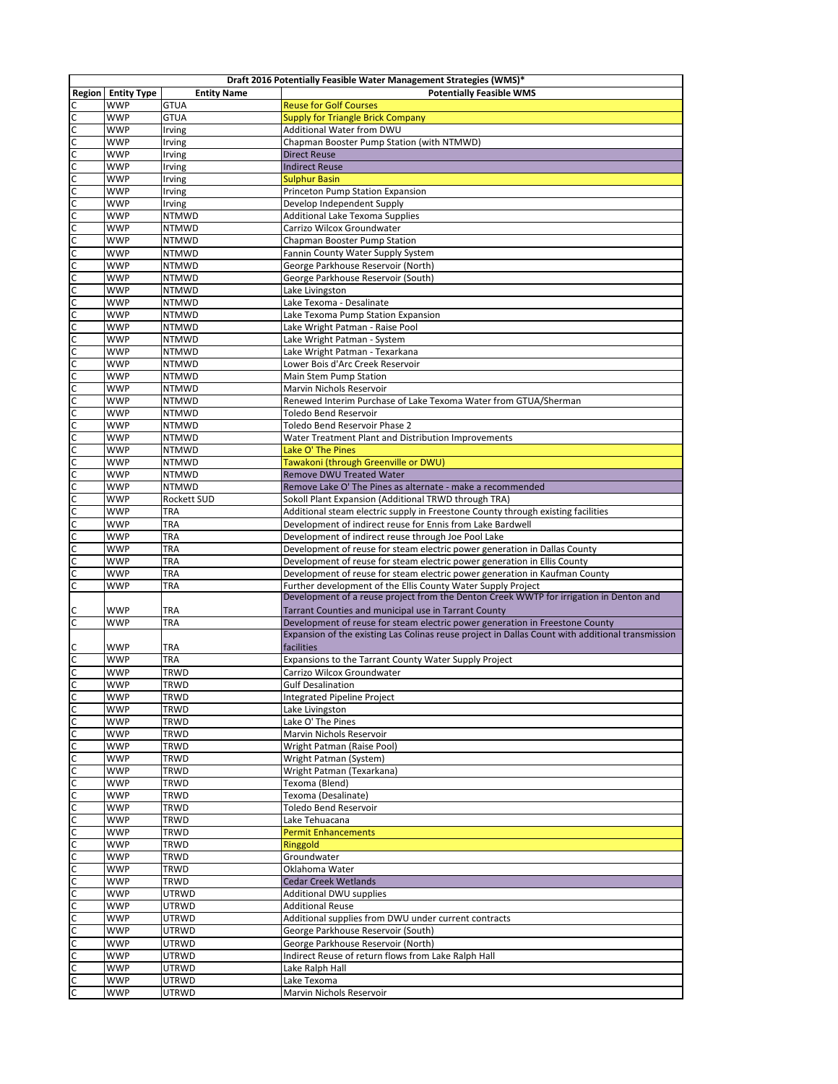|                                | Draft 2016 Potentially Feasible Water Management Strategies (WMS)* |                              |                                                                                                                                                        |
|--------------------------------|--------------------------------------------------------------------|------------------------------|--------------------------------------------------------------------------------------------------------------------------------------------------------|
| Region                         | <b>Entity Type</b>                                                 | <b>Entity Name</b>           | <b>Potentially Feasible WMS</b>                                                                                                                        |
|                                | <b>WWP</b>                                                         | <b>GTUA</b>                  | <b>Reuse for Golf Courses</b>                                                                                                                          |
|                                | <b>WWP</b>                                                         | <b>GTUA</b>                  | <b>Supply for Triangle Brick Company</b>                                                                                                               |
| C<br>C                         | <b>WWP</b><br><b>WWP</b>                                           | Irving<br>Irving             | Additional Water from DWU<br>Chapman Booster Pump Station (with NTMWD)                                                                                 |
| C                              | <b>WWP</b>                                                         | Irving                       | <b>Direct Reuse</b>                                                                                                                                    |
| $\mathsf{C}$                   | <b>WWP</b>                                                         | Irving                       | <b>Indirect Reuse</b>                                                                                                                                  |
| C                              | <b>WWP</b>                                                         | Irving                       | <b>Sulphur Basin</b>                                                                                                                                   |
| C                              | <b>WWP</b>                                                         | Irving                       | Princeton Pump Station Expansion                                                                                                                       |
| C                              | <b>WWP</b>                                                         | Irving                       | Develop Independent Supply                                                                                                                             |
| C                              | <b>WWP</b>                                                         | <b>NTMWD</b>                 | <b>Additional Lake Texoma Supplies</b>                                                                                                                 |
| C                              | <b>WWP</b>                                                         | <b>NTMWD</b>                 | Carrizo Wilcox Groundwater                                                                                                                             |
| C                              | <b>WWP</b>                                                         | <b>NTMWD</b>                 | Chapman Booster Pump Station                                                                                                                           |
| C                              | <b>WWP</b>                                                         | <b>NTMWD</b>                 | Fannin County Water Supply System                                                                                                                      |
| C<br>C                         | <b>WWP</b><br><b>WWP</b>                                           | <b>NTMWD</b><br><b>NTMWD</b> | George Parkhouse Reservoir (North)<br>George Parkhouse Reservoir (South)                                                                               |
| C                              | <b>WWP</b>                                                         | <b>NTMWD</b>                 | Lake Livingston                                                                                                                                        |
| C                              | <b>WWP</b>                                                         | <b>NTMWD</b>                 | Lake Texoma - Desalinate                                                                                                                               |
| C                              | <b>WWP</b>                                                         | <b>NTMWD</b>                 | Lake Texoma Pump Station Expansion                                                                                                                     |
| C                              | <b>WWP</b>                                                         | <b>NTMWD</b>                 | Lake Wright Patman - Raise Pool                                                                                                                        |
| C                              | <b>WWP</b>                                                         | <b>NTMWD</b>                 | Lake Wright Patman - System                                                                                                                            |
| C                              | <b>WWP</b>                                                         | <b>NTMWD</b>                 | Lake Wright Patman - Texarkana                                                                                                                         |
| C                              | <b>WWP</b>                                                         | <b>NTMWD</b>                 | Lower Bois d'Arc Creek Reservoir                                                                                                                       |
| C                              | <b>WWP</b>                                                         | <b>NTMWD</b>                 | Main Stem Pump Station                                                                                                                                 |
| C                              | <b>WWP</b>                                                         | <b>NTMWD</b>                 | <b>Marvin Nichols Reservoir</b>                                                                                                                        |
| C                              | <b>WWP</b>                                                         | <b>NTMWD</b>                 | Renewed Interim Purchase of Lake Texoma Water from GTUA/Sherman                                                                                        |
| C                              | <b>WWP</b><br><b>WWP</b>                                           | <b>NTMWD</b>                 | <b>Toledo Bend Reservoir</b>                                                                                                                           |
| C<br>C                         | <b>WWP</b>                                                         | <b>NTMWD</b><br><b>NTMWD</b> | Toledo Bend Reservoir Phase 2<br>Water Treatment Plant and Distribution Improvements                                                                   |
| C                              | <b>WWP</b>                                                         | <b>NTMWD</b>                 | Lake O' The Pines                                                                                                                                      |
| $\mathsf{C}$                   | <b>WWP</b>                                                         | <b>NTMWD</b>                 | Tawakoni (through Greenville or DWU)                                                                                                                   |
| C                              | <b>WWP</b>                                                         | <b>NTMWD</b>                 | Remove DWU Treated Water                                                                                                                               |
| $\mathsf{C}$                   | <b>WWP</b>                                                         | <b>NTMWD</b>                 | Remove Lake O' The Pines as alternate - make a recommended                                                                                             |
| C                              | <b>WWP</b>                                                         | Rockett SUD                  | Sokoll Plant Expansion (Additional TRWD through TRA)                                                                                                   |
| $\mathsf{C}$                   | <b>WWP</b>                                                         | <b>TRA</b>                   | Additional steam electric supply in Freestone County through existing facilities                                                                       |
| C                              | <b>WWP</b>                                                         | <b>TRA</b>                   | Development of indirect reuse for Ennis from Lake Bardwell                                                                                             |
| $\mathsf{C}$                   | <b>WWP</b>                                                         | <b>TRA</b>                   | Development of indirect reuse through Joe Pool Lake                                                                                                    |
| C                              | <b>WWP</b>                                                         | <b>TRA</b>                   | Development of reuse for steam electric power generation in Dallas County                                                                              |
| $\mathsf{C}$                   | <b>WWP</b>                                                         | <b>TRA</b>                   | Development of reuse for steam electric power generation in Ellis County                                                                               |
| C                              | <b>WWP</b>                                                         | <b>TRA</b>                   | Development of reuse for steam electric power generation in Kaufman County                                                                             |
| $\mathsf{C}$                   | <b>WWP</b>                                                         | <b>TRA</b>                   | Further development of the Ellis County Water Supply Project<br>Development of a reuse project from the Denton Creek WWTP for irrigation in Denton and |
| C                              | <b>WWP</b>                                                         | <b>TRA</b>                   | Tarrant Counties and municipal use in Tarrant County                                                                                                   |
| $\mathsf{C}$                   | <b>WWP</b>                                                         | <b>TRA</b>                   | Development of reuse for steam electric power generation in Freestone County                                                                           |
|                                |                                                                    |                              | Expansion of the existing Las Colinas reuse project in Dallas Count with additional transmission                                                       |
| C                              | <b>WWP</b>                                                         | <b>TRA</b>                   | facilities                                                                                                                                             |
| $\mathsf{C}$                   | <b>WWP</b>                                                         | <b>TRA</b>                   | Expansions to the Tarrant County Water Supply Project                                                                                                  |
| $\mathsf{C}$                   | <b>WWP</b>                                                         | <b>TRWD</b>                  | Carrizo Wilcox Groundwater                                                                                                                             |
| $\overline{\mathsf{c}}$        | <b>WWP</b>                                                         | <b>TRWD</b>                  | <b>Gulf Desalination</b>                                                                                                                               |
| $\mathsf{C}$                   | <b>WWP</b>                                                         | <b>TRWD</b>                  | <b>Integrated Pipeline Project</b>                                                                                                                     |
| $\overline{\mathsf{c}}$        | <b>WWP</b>                                                         | <b>TRWD</b>                  | Lake Livingston                                                                                                                                        |
| $\mathsf{C}$                   | <b>WWP</b>                                                         | <b>TRWD</b>                  | Lake O' The Pines                                                                                                                                      |
| $\overline{c}$                 | <b>WWP</b>                                                         | <b>TRWD</b>                  | Marvin Nichols Reservoir                                                                                                                               |
| $\mathsf{C}$<br>$\overline{c}$ | <b>WWP</b><br><b>WWP</b>                                           | <b>TRWD</b><br><b>TRWD</b>   | Wright Patman (Raise Pool)<br>Wright Patman (System)                                                                                                   |
| $\mathsf{C}$                   | <b>WWP</b>                                                         | <b>TRWD</b>                  | Wright Patman (Texarkana)                                                                                                                              |
| $\overline{c}$                 | <b>WWP</b>                                                         | <b>TRWD</b>                  | Texoma (Blend)                                                                                                                                         |
| $\mathsf{C}$                   | <b>WWP</b>                                                         | <b>TRWD</b>                  | Texoma (Desalinate)                                                                                                                                    |
| $\overline{c}$                 | <b>WWP</b>                                                         | <b>TRWD</b>                  | Toledo Bend Reservoir                                                                                                                                  |
| $\mathsf{C}$                   | <b>WWP</b>                                                         | <b>TRWD</b>                  | Lake Tehuacana                                                                                                                                         |
| $\overline{c}$                 | <b>WWP</b>                                                         | <b>TRWD</b>                  | <b>Permit Enhancements</b>                                                                                                                             |
| $\mathsf{C}$                   | <b>WWP</b>                                                         | <b>TRWD</b>                  | Ringgold                                                                                                                                               |
| $\overline{c}$                 | <b>WWP</b>                                                         | <b>TRWD</b>                  | Groundwater                                                                                                                                            |
| $\mathsf{C}$                   | <b>WWP</b>                                                         | <b>TRWD</b>                  | Oklahoma Water                                                                                                                                         |
| $\overline{c}$                 | <b>WWP</b>                                                         | <b>TRWD</b>                  | <b>Cedar Creek Wetlands</b>                                                                                                                            |
| $\mathsf{C}$                   | <b>WWP</b>                                                         | <b>UTRWD</b>                 | Additional DWU supplies                                                                                                                                |
| $\overline{c}$                 | <b>WWP</b>                                                         | <b>UTRWD</b>                 | <b>Additional Reuse</b>                                                                                                                                |
| $\mathsf{C}$<br>$\overline{c}$ | <b>WWP</b><br><b>WWP</b>                                           | <b>UTRWD</b><br><b>UTRWD</b> | Additional supplies from DWU under current contracts<br>George Parkhouse Reservoir (South)                                                             |
| $\mathsf{C}$                   | <b>WWP</b>                                                         | <b>UTRWD</b>                 | George Parkhouse Reservoir (North)                                                                                                                     |
| $\overline{c}$                 | <b>WWP</b>                                                         | <b>UTRWD</b>                 | Indirect Reuse of return flows from Lake Ralph Hall                                                                                                    |
| $\mathsf{C}$                   | <b>WWP</b>                                                         | <b>UTRWD</b>                 | Lake Ralph Hall                                                                                                                                        |
| $\overline{c}$                 | <b>WWP</b>                                                         | <b>UTRWD</b>                 | Lake Texoma                                                                                                                                            |
| $\overline{c}$                 | <b>WWP</b>                                                         | UTRWD                        | Marvin Nichols Reservoir                                                                                                                               |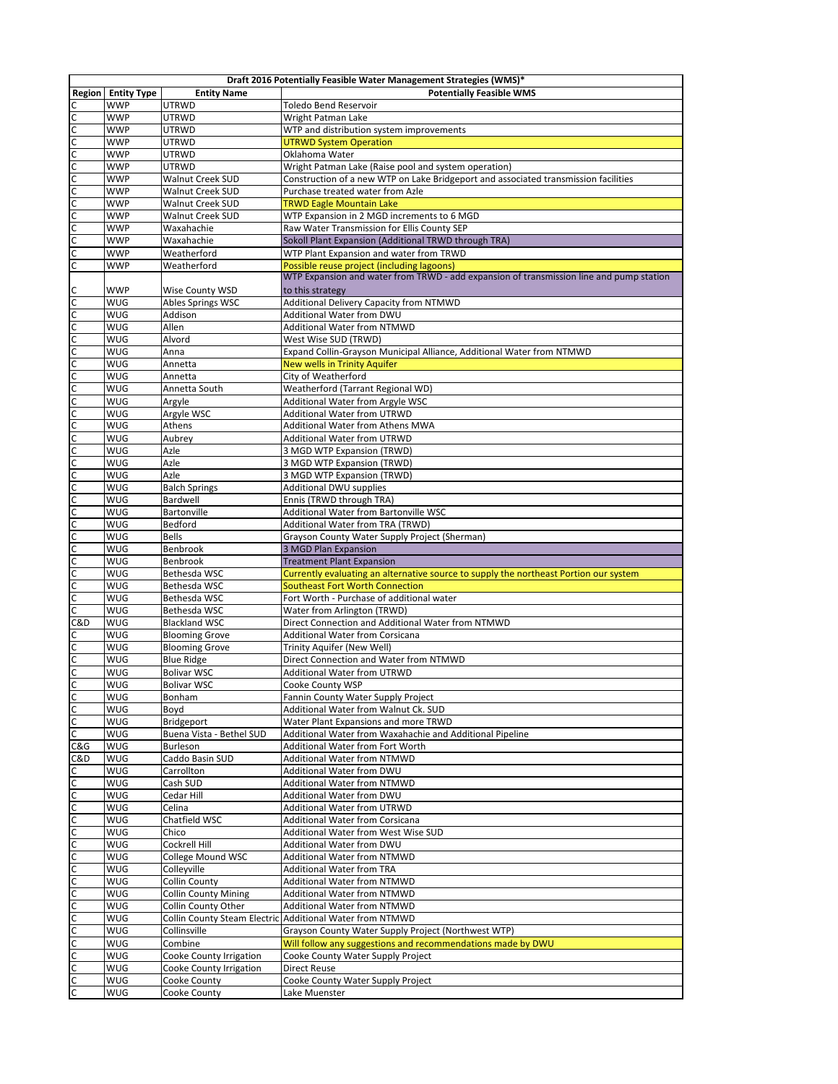|                                |                    |                              | Draft 2016 Potentially Feasible Water Management Strategies (WMS)*                                                                    |
|--------------------------------|--------------------|------------------------------|---------------------------------------------------------------------------------------------------------------------------------------|
| <b>Region</b>                  | <b>Entity Type</b> | <b>Entity Name</b>           | <b>Potentially Feasible WMS</b>                                                                                                       |
| $\mathsf{C}$                   | <b>WWP</b>         | <b>UTRWD</b>                 | Toledo Bend Reservoir                                                                                                                 |
| $\overline{c}$                 | <b>WWP</b>         | <b>UTRWD</b>                 | Wright Patman Lake                                                                                                                    |
|                                | <b>WWP</b>         | UTRWD                        | WTP and distribution system improvements                                                                                              |
| <u>ulululululululululu</u>     | <b>WWP</b>         | UTRWD                        | <b>UTRWD System Operation</b>                                                                                                         |
|                                | <b>WWP</b>         | UTRWD                        | Oklahoma Water                                                                                                                        |
|                                | <b>WWP</b>         | <b>UTRWD</b>                 | Wright Patman Lake (Raise pool and system operation)                                                                                  |
|                                | <b>WWP</b>         | Walnut Creek SUD             | Construction of a new WTP on Lake Bridgeport and associated transmission facilities                                                   |
|                                | <b>WWP</b>         | Walnut Creek SUD             | Purchase treated water from Azle                                                                                                      |
|                                | <b>WWP</b>         | Walnut Creek SUD             | <b>TRWD Eagle Mountain Lake</b>                                                                                                       |
|                                | <b>WWP</b>         | Walnut Creek SUD             | WTP Expansion in 2 MGD increments to 6 MGD                                                                                            |
|                                | <b>WWP</b>         | Waxahachie                   | Raw Water Transmission for Ellis County SEP                                                                                           |
|                                | <b>WWP</b>         | Waxahachie                   | Sokoll Plant Expansion (Additional TRWD through TRA)                                                                                  |
|                                | <b>WWP</b>         | Weatherford<br>Weatherford   | WTP Plant Expansion and water from TRWD                                                                                               |
|                                | <b>WWP</b>         |                              | Possible reuse project (including lagoons)<br>WTP Expansion and water from TRWD - add expansion of transmission line and pump station |
| C                              | WWP                | Wise County WSD              |                                                                                                                                       |
| $\mathsf{C}$                   | WUG                | Ables Springs WSC            | to this strategy<br>Additional Delivery Capacity from NTMWD                                                                           |
| $\mathsf{C}$                   | WUG                | Addison                      | Additional Water from DWU                                                                                                             |
|                                | WUG                | Allen                        | <b>Additional Water from NTMWD</b>                                                                                                    |
| $\mathsf{C}$<br>$\overline{c}$ | WUG                | Alvord                       | West Wise SUD (TRWD)                                                                                                                  |
|                                | WUG                | Anna                         | Expand Collin-Grayson Municipal Alliance, Additional Water from NTMWD                                                                 |
| $\mathsf{C}$<br>$\overline{c}$ | WUG                | Annetta                      | <b>New wells in Trinity Aquifer</b>                                                                                                   |
|                                | WUG                | Annetta                      | City of Weatherford                                                                                                                   |
| $\mathsf{C}$<br>$\overline{c}$ | WUG                | Annetta South                | Weatherford (Tarrant Regional WD)                                                                                                     |
|                                | WUG                |                              |                                                                                                                                       |
| C<br>$\overline{c}$            | WUG                | Argyle<br>Argyle WSC         | Additional Water from Argyle WSC<br><b>Additional Water from UTRWD</b>                                                                |
|                                | WUG                | Athens                       | Additional Water from Athens MWA                                                                                                      |
| C<br>$\overline{c}$            | WUG                | Aubrey                       | <b>Additional Water from UTRWD</b>                                                                                                    |
|                                | WUG                |                              | 3 MGD WTP Expansion (TRWD)                                                                                                            |
| C<br>$\overline{c}$            | WUG                | Azle                         | 3 MGD WTP Expansion (TRWD)                                                                                                            |
|                                | WUG                | Azle<br>Azle                 | 3 MGD WTP Expansion (TRWD)                                                                                                            |
| $\mathsf{C}$<br>$\overline{c}$ | WUG                | <b>Balch Springs</b>         | Additional DWU supplies                                                                                                               |
|                                | WUG                | Bardwell                     | Ennis (TRWD through TRA)                                                                                                              |
| $\mathsf{C}$<br>$\overline{c}$ | WUG                | Bartonville                  | Additional Water from Bartonville WSC                                                                                                 |
|                                | WUG                | Bedford                      | Additional Water from TRA (TRWD)                                                                                                      |
| $\mathsf{C}$<br>$\overline{c}$ | WUG                | <b>Bells</b>                 | Grayson County Water Supply Project (Sherman)                                                                                         |
| $\mathsf{C}$                   | WUG                | Benbrook                     | 3 MGD Plan Expansion                                                                                                                  |
| $\overline{c}$                 | WUG                | Benbrook                     | <b>Treatment Plant Expansion</b>                                                                                                      |
| C                              | WUG                | Bethesda WSC                 | Currently evaluating an alternative source to supply the northeast Portion our system                                                 |
| $\overline{c}$                 | WUG                | Bethesda WSC                 | <b>Southeast Fort Worth Connection</b>                                                                                                |
| C                              | WUG                | Bethesda WSC                 | Fort Worth - Purchase of additional water                                                                                             |
| $\mathsf{C}$                   | WUG                | Bethesda WSC                 | Water from Arlington (TRWD)                                                                                                           |
| C&D                            | WUG                | <b>Blackland WSC</b>         | Direct Connection and Additional Water from NTMWD                                                                                     |
| C                              | WUG                | <b>Blooming Grove</b>        | Additional Water from Corsicana                                                                                                       |
| C                              | WUG                | <b>Blooming Grove</b>        | Trinity Aquifer (New Well)                                                                                                            |
| $\mathsf{C}$                   | WUG                | <b>Blue Ridge</b>            | Direct Connection and Water from NTMWD                                                                                                |
| C                              | WUG                | <b>Bolivar WSC</b>           | <b>Additional Water from UTRWD</b>                                                                                                    |
| $\overline{\mathsf{c}}$        | <b>WUG</b>         | <b>Bolivar WSC</b>           | Cooke County WSP                                                                                                                      |
|                                | WUG                | Bonham                       | Fannin County Water Supply Project                                                                                                    |
| $\frac{c}{c}$                  | WUG                | Boyd                         | Additional Water from Walnut Ck. SUD                                                                                                  |
| C                              | WUG                | Bridgeport                   | Water Plant Expansions and more TRWD                                                                                                  |
| $\overline{\mathsf{c}}$        | WUG                | Buena Vista - Bethel SUD     | Additional Water from Waxahachie and Additional Pipeline                                                                              |
| C&G                            | WUG                | Burleson                     | Additional Water from Fort Worth                                                                                                      |
| C&D                            | WUG                | Caddo Basin SUD              | Additional Water from NTMWD                                                                                                           |
| С                              | WUG                | Carrollton                   | Additional Water from DWU                                                                                                             |
| $\mathsf{C}$                   | WUG                | Cash SUD                     | Additional Water from NTMWD                                                                                                           |
| C                              | WUG                | Cedar Hill                   | Additional Water from DWU                                                                                                             |
| $\mathsf{C}$                   | WUG                | Celina                       | Additional Water from UTRWD                                                                                                           |
| C                              | WUG                | Chatfield WSC                | Additional Water from Corsicana                                                                                                       |
| $\mathsf{C}$                   | WUG                | Chico                        | Additional Water from West Wise SUD                                                                                                   |
| C                              | WUG                | Cockrell Hill                | Additional Water from DWU                                                                                                             |
| $\mathsf{C}$                   | WUG                | <b>College Mound WSC</b>     | Additional Water from NTMWD                                                                                                           |
| C                              | WUG                | Colleyville                  | Additional Water from TRA                                                                                                             |
| $\mathsf{C}$                   | WUG                | Collin County                | Additional Water from NTMWD                                                                                                           |
| C                              | WUG                | <b>Collin County Mining</b>  | Additional Water from NTMWD                                                                                                           |
| $\mathsf{C}$                   | WUG                | Collin County Other          | <b>Additional Water from NTMWD</b>                                                                                                    |
| C                              | WUG                | Collin County Steam Electric | Additional Water from NTMWD                                                                                                           |
| $\mathsf{C}$                   | WUG                | Collinsville                 | Grayson County Water Supply Project (Northwest WTP)                                                                                   |
| C                              | WUG                | Combine                      | Will follow any suggestions and recommendations made by DWU                                                                           |
| $\mathsf{C}$                   | WUG                | Cooke County Irrigation      | Cooke County Water Supply Project                                                                                                     |
| C                              | WUG                | Cooke County Irrigation      | Direct Reuse                                                                                                                          |
| $\mathsf{C}$                   | WUG                | Cooke County                 | Cooke County Water Supply Project                                                                                                     |
| C                              | WUG                | Cooke County                 | Lake Muenster                                                                                                                         |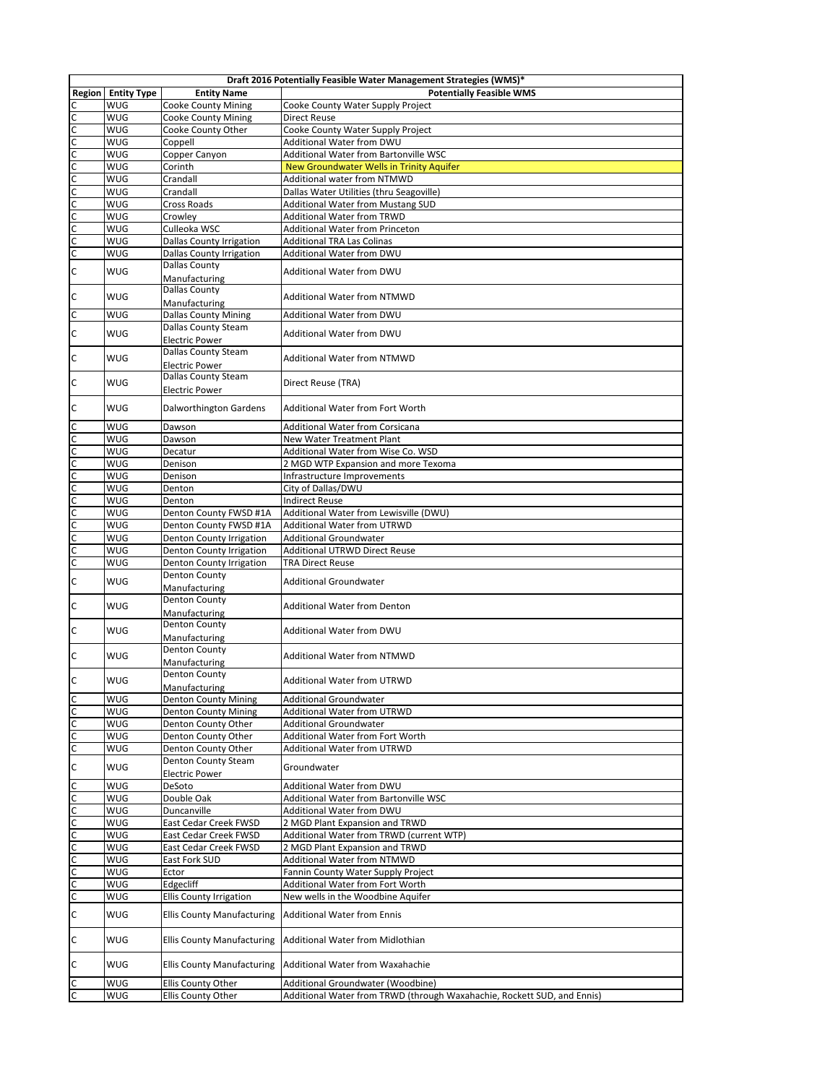| Draft 2016 Potentially Feasible Water Management Strategies (WMS)* |                    |                                   |                                                                         |
|--------------------------------------------------------------------|--------------------|-----------------------------------|-------------------------------------------------------------------------|
| Region                                                             | <b>Entity Type</b> | <b>Entity Name</b>                | <b>Potentially Feasible WMS</b>                                         |
| $\mathsf{C}$                                                       | WUG                | <b>Cooke County Mining</b>        | Cooke County Water Supply Project                                       |
| $\overline{c}$                                                     | WUG                | <b>Cooke County Mining</b>        | <b>Direct Reuse</b>                                                     |
|                                                                    | WUG                | Cooke County Other                | Cooke County Water Supply Project                                       |
|                                                                    | WUG                | Coppell                           | Additional Water from DWU                                               |
| uppopopopopopo                                                     | WUG                | Copper Canyon                     | Additional Water from Bartonville WSC                                   |
|                                                                    | WUG                | Corinth                           | New Groundwater Wells in Trinity Aquifer                                |
|                                                                    | WUG                | Crandall                          | Additional water from NTMWD                                             |
|                                                                    | WUG                | Crandall                          | Dallas Water Utilities (thru Seagoville)                                |
|                                                                    | WUG                | Cross Roads                       | Additional Water from Mustang SUD                                       |
|                                                                    | WUG                | Crowley                           | <b>Additional Water from TRWD</b>                                       |
|                                                                    | WUG                | Culleoka WSC                      | Additional Water from Princeton                                         |
|                                                                    | WUG                | <b>Dallas County Irrigation</b>   | <b>Additional TRA Las Colinas</b>                                       |
|                                                                    | WUG                | <b>Dallas County Irrigation</b>   | Additional Water from DWU                                               |
| $\mathsf{C}$                                                       |                    | <b>Dallas County</b>              | Additional Water from DWU                                               |
|                                                                    | WUG                | Manufacturing                     |                                                                         |
| $\mathsf{C}$                                                       | <b>WUG</b>         | <b>Dallas County</b>              | Additional Water from NTMWD                                             |
|                                                                    |                    | Manufacturing                     |                                                                         |
| $\mathsf{C}$                                                       | WUG                | <b>Dallas County Mining</b>       | Additional Water from DWU                                               |
|                                                                    |                    | <b>Dallas County Steam</b>        |                                                                         |
| C                                                                  | WUG                | <b>Electric Power</b>             | Additional Water from DWU                                               |
| $\mathsf{C}$                                                       | <b>WUG</b>         | <b>Dallas County Steam</b>        |                                                                         |
|                                                                    |                    | <b>Electric Power</b>             | <b>Additional Water from NTMWD</b>                                      |
| C                                                                  | <b>WUG</b>         | <b>Dallas County Steam</b>        | Direct Reuse (TRA)                                                      |
|                                                                    |                    | <b>Electric Power</b>             |                                                                         |
| C                                                                  | <b>WUG</b>         |                                   | Additional Water from Fort Worth                                        |
|                                                                    |                    | Dalworthington Gardens            |                                                                         |
| $\mathsf{C}$                                                       | WUG                | Dawson                            | <b>Additional Water from Corsicana</b>                                  |
| $\mathsf{C}$                                                       | WUG                | Dawson                            | New Water Treatment Plant                                               |
| $\mathsf{C}$                                                       | WUG                | Decatur                           | Additional Water from Wise Co. WSD                                      |
| $\overline{c}$                                                     | WUG                | Denison                           | 2 MGD WTP Expansion and more Texoma                                     |
| $\mathsf{C}$                                                       | WUG                | Denison                           | Infrastructure Improvements                                             |
| $\overline{c}$                                                     | WUG                | Denton                            | City of Dallas/DWU                                                      |
| $\overline{c}$                                                     | WUG                | Denton                            | <b>Indirect Reuse</b>                                                   |
| $\overline{c}$                                                     | WUG                | Denton County FWSD #1A            | Additional Water from Lewisville (DWU)                                  |
| $\mathsf{C}$                                                       | WUG                | Denton County FWSD #1A            | Additional Water from UTRWD                                             |
| $\mathsf{C}$                                                       | WUG                | Denton County Irrigation          | <b>Additional Groundwater</b>                                           |
| $\mathsf{C}$                                                       | WUG                | Denton County Irrigation          | Additional UTRWD Direct Reuse                                           |
| $\mathsf{C}$                                                       | WUG                | Denton County Irrigation          | <b>TRA Direct Reuse</b>                                                 |
|                                                                    |                    | Denton County                     |                                                                         |
| $\mathsf{C}$                                                       | <b>WUG</b>         | Manufacturing                     | <b>Additional Groundwater</b>                                           |
|                                                                    |                    | <b>Denton County</b>              |                                                                         |
| $\mathsf{C}$                                                       | <b>WUG</b>         | Manufacturing                     | <b>Additional Water from Denton</b>                                     |
|                                                                    | <b>WUG</b>         | <b>Denton County</b>              |                                                                         |
| $\mathsf{C}$                                                       |                    | Manufacturing                     | Additional Water from DWU                                               |
|                                                                    |                    | Denton County                     |                                                                         |
| $\mathsf{C}$                                                       | <b>WUG</b>         | Manufacturing                     | <b>Additional Water from NTMWD</b>                                      |
|                                                                    |                    | Denton County                     |                                                                         |
| C                                                                  | <b>WUG</b>         | Manufacturing                     | <b>Additional Water from UTRWD</b>                                      |
| C                                                                  | WUG                | <b>Denton County Mining</b>       | <b>Additional Groundwater</b>                                           |
| $\mathsf{C}$                                                       | WUG                | <b>Denton County Mining</b>       | Additional Water from UTRWD                                             |
| C                                                                  | WUG                | Denton County Other               | <b>Additional Groundwater</b>                                           |
| C                                                                  | WUG                | Denton County Other               | Additional Water from Fort Worth                                        |
| $\mathsf{C}$                                                       | WUG                | Denton County Other               | Additional Water from UTRWD                                             |
| $\mathsf{C}$                                                       | WUG                | Denton County Steam               | Groundwater                                                             |
|                                                                    |                    | <b>Electric Power</b>             |                                                                         |
| $\mathsf{C}$                                                       | WUG                | DeSoto                            | Additional Water from DWU                                               |
| $\mathsf{C}$                                                       | WUG                | Double Oak                        | Additional Water from Bartonville WSC                                   |
| $\mathsf{C}$                                                       | WUG                | Duncanville                       | Additional Water from DWU                                               |
| $\mathsf{C}$                                                       | WUG                | East Cedar Creek FWSD             | 2 MGD Plant Expansion and TRWD                                          |
| $\mathsf{C}$                                                       | WUG                | East Cedar Creek FWSD             | Additional Water from TRWD (current WTP)                                |
| $\overline{c}$                                                     | WUG                | East Cedar Creek FWSD             | 2 MGD Plant Expansion and TRWD                                          |
| $\overline{c}$                                                     | WUG                | East Fork SUD                     | Additional Water from NTMWD                                             |
| $\mathsf{C}$                                                       | WUG                | Ector                             | Fannin County Water Supply Project                                      |
| $\mathsf{C}$                                                       | WUG                | Edgecliff                         | Additional Water from Fort Worth                                        |
| $\mathsf{C}$                                                       | WUG                | <b>Ellis County Irrigation</b>    | New wells in the Woodbine Aquifer                                       |
| $\mathsf{C}$                                                       | WUG                | <b>Ellis County Manufacturing</b> | <b>Additional Water from Ennis</b>                                      |
| $\mathsf{C}$                                                       | WUG                | <b>Ellis County Manufacturing</b> | Additional Water from Midlothian                                        |
| $\mathsf{C}$                                                       | WUG                | <b>Ellis County Manufacturing</b> | Additional Water from Waxahachie                                        |
| С                                                                  | WUG                | Ellis County Other                | Additional Groundwater (Woodbine)                                       |
| $\mathsf{C}$                                                       | WUG                | Ellis County Other                | Additional Water from TRWD (through Waxahachie, Rockett SUD, and Ennis) |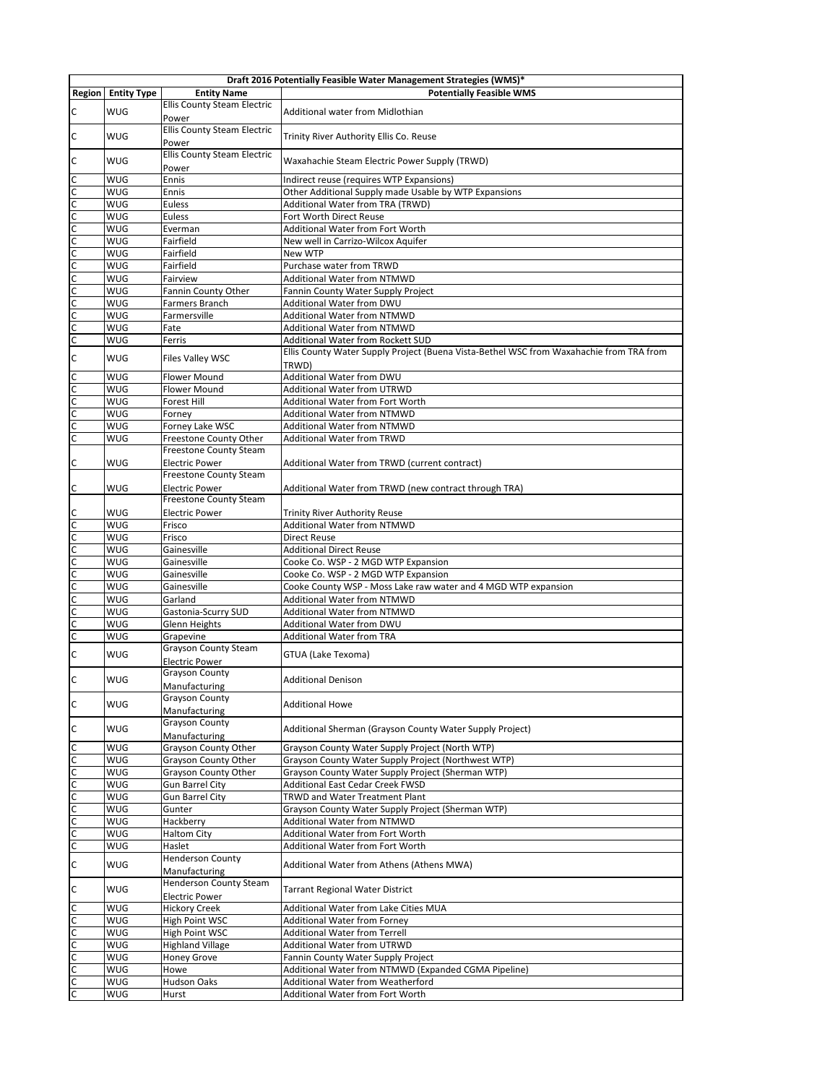| Draft 2016 Potentially Feasible Water Management Strategies (WMS)* |                    |                                                        |                                                                                                  |
|--------------------------------------------------------------------|--------------------|--------------------------------------------------------|--------------------------------------------------------------------------------------------------|
| Region                                                             | <b>Entity Type</b> | <b>Entity Name</b>                                     | <b>Potentially Feasible WMS</b>                                                                  |
| C                                                                  | <b>WUG</b>         | Ellis County Steam Electric<br>Power                   | Additional water from Midlothian                                                                 |
| C                                                                  | <b>WUG</b>         | Ellis County Steam Electric<br>Power                   | Trinity River Authority Ellis Co. Reuse                                                          |
| C                                                                  | <b>WUG</b>         | Ellis County Steam Electric<br>Power                   | Waxahachie Steam Electric Power Supply (TRWD)                                                    |
| $\mathsf{C}$                                                       | WUG                | Ennis                                                  | Indirect reuse (requires WTP Expansions)                                                         |
| $\overline{c}$                                                     | WUG                | Ennis                                                  | Other Additional Supply made Usable by WTP Expansions                                            |
|                                                                    | WUG                | <b>Euless</b>                                          | Additional Water from TRA (TRWD)                                                                 |
| $\frac{c}{c}$                                                      | WUG                | Euless                                                 | Fort Worth Direct Reuse                                                                          |
| $rac{c}{c}$                                                        | WUG                | Everman                                                | Additional Water from Fort Worth                                                                 |
|                                                                    | WUG                | Fairfield                                              | New well in Carrizo-Wilcox Aquifer                                                               |
| $rac{c}{c}$                                                        | WUG                | Fairfield                                              | New WTP                                                                                          |
|                                                                    | WUG                | Fairfield                                              | Purchase water from TRWD                                                                         |
| c<br>C                                                             | WUG                | Fairview                                               | <b>Additional Water from NTMWD</b>                                                               |
|                                                                    | WUG                | Fannin County Other                                    | Fannin County Water Supply Project                                                               |
| $\frac{c}{c}$                                                      | WUG                | Farmers Branch                                         | Additional Water from DWU                                                                        |
|                                                                    | WUG<br>WUG         | Farmersville<br>Fate                                   | <b>Additional Water from NTMWD</b><br><b>Additional Water from NTMWD</b>                         |
| c<br>C                                                             | WUG                | Ferris                                                 | Additional Water from Rockett SUD                                                                |
| C                                                                  | WUG                | Files Valley WSC                                       | Ellis County Water Supply Project (Buena Vista-Bethel WSC from Waxahachie from TRA from<br>TRWD) |
|                                                                    | WUG                | <b>Flower Mound</b>                                    | Additional Water from DWU                                                                        |
| $\frac{1}{2}$                                                      | WUG                | Flower Mound                                           | Additional Water from UTRWD                                                                      |
|                                                                    | WUG                | Forest Hill                                            | Additional Water from Fort Worth                                                                 |
|                                                                    | WUG                | Forney                                                 | <b>Additional Water from NTMWD</b>                                                               |
|                                                                    | WUG                | Forney Lake WSC                                        | <b>Additional Water from NTMWD</b>                                                               |
|                                                                    | WUG                | Freestone County Other                                 | <b>Additional Water from TRWD</b>                                                                |
| $\overline{c}$                                                     | WUG                | Freestone County Steam<br><b>Electric Power</b>        | Additional Water from TRWD (current contract)                                                    |
| $\mathsf{C}$                                                       | WUG                | Freestone County Steam<br><b>Electric Power</b>        | Additional Water from TRWD (new contract through TRA)                                            |
| $\mathsf{C}$                                                       | WUG                | Freestone County Steam<br><b>Electric Power</b>        | <b>Trinity River Authority Reuse</b>                                                             |
| C                                                                  | WUG                | Frisco                                                 | <b>Additional Water from NTMWD</b>                                                               |
| $\mathsf{C}$                                                       | WUG                | Frisco                                                 | <b>Direct Reuse</b>                                                                              |
| $\overline{c}$                                                     | WUG                | Gainesville                                            | <b>Additional Direct Reuse</b>                                                                   |
| $\overline{c}$                                                     | WUG                | Gainesville                                            | Cooke Co. WSP - 2 MGD WTP Expansion                                                              |
| p                                                                  | WUG                | Gainesville                                            | Cooke Co. WSP - 2 MGD WTP Expansion                                                              |
| $\overline{c}$                                                     | WUG                | Gainesville                                            | Cooke County WSP - Moss Lake raw water and 4 MGD WTP expansion                                   |
| $\overline{c}$                                                     | WUG                | Garland                                                | <b>Additional Water from NTMWD</b>                                                               |
| $\mathsf{C}$                                                       | WUG                | Gastonia-Scurry SUD                                    | <b>Additional Water from NTMWD</b>                                                               |
| $\overline{c}$                                                     | WUG                | Glenn Heights                                          | Additional Water from DWU                                                                        |
| $\overline{\mathsf{c}}$                                            | WUG                | Grapevine                                              | <b>Additional Water from TRA</b>                                                                 |
| $\mathsf{C}$                                                       | <b>WUG</b>         | <b>Grayson County Steam</b><br><b>Electric Power</b>   | GTUA (Lake Texoma)                                                                               |
| C                                                                  | <b>WUG</b>         | Grayson County<br>Manufacturing                        | <b>Additional Denison</b>                                                                        |
| $\mathsf{C}$                                                       | WUG                | Grayson County<br>Manufacturing                        | <b>Additional Howe</b>                                                                           |
| $\mathsf{C}$                                                       | WUG                | Grayson County<br>Manufacturing                        | Additional Sherman (Grayson County Water Supply Project)                                         |
|                                                                    | WUG                | <b>Grayson County Other</b>                            | Grayson County Water Supply Project (North WTP)                                                  |
|                                                                    | WUG                | Grayson County Other                                   | Grayson County Water Supply Project (Northwest WTP)                                              |
|                                                                    | WUG                | Grayson County Other                                   | Grayson County Water Supply Project (Sherman WTP)                                                |
|                                                                    | WUG                | <b>Gun Barrel City</b>                                 | Additional East Cedar Creek FWSD                                                                 |
|                                                                    | WUG                | <b>Gun Barrel City</b>                                 | TRWD and Water Treatment Plant                                                                   |
|                                                                    | WUG                | Gunter                                                 | Grayson County Water Supply Project (Sherman WTP)                                                |
|                                                                    | WUG                | Hackberry                                              | Additional Water from NTMWD                                                                      |
| lo lo lo lo lo lo lo                                               | WUG                | <b>Haltom City</b>                                     | Additional Water from Fort Worth                                                                 |
|                                                                    | WUG                | Haslet                                                 | Additional Water from Fort Worth                                                                 |
| $\mathsf{C}$                                                       | WUG                | <b>Henderson County</b><br>Manufacturing               | Additional Water from Athens (Athens MWA)                                                        |
| C                                                                  | WUG                | <b>Henderson County Steam</b><br><b>Electric Power</b> | Tarrant Regional Water District                                                                  |
|                                                                    | WUG                | <b>Hickory Creek</b>                                   | Additional Water from Lake Cities MUA                                                            |
|                                                                    | WUG                | High Point WSC                                         | <b>Additional Water from Forney</b>                                                              |
|                                                                    | WUG                | High Point WSC                                         | <b>Additional Water from Terrell</b>                                                             |
|                                                                    | WUG                | <b>Highland Village</b>                                | Additional Water from UTRWD                                                                      |
| ululululululu                                                      | WUG<br>WUG         | <b>Honey Grove</b>                                     | Fannin County Water Supply Project<br>Additional Water from NTMWD (Expanded CGMA Pipeline)       |
|                                                                    | WUG                | Howe<br>Hudson Oaks                                    | Additional Water from Weatherford                                                                |
|                                                                    | WUG                | Hurst                                                  | Additional Water from Fort Worth                                                                 |
|                                                                    |                    |                                                        |                                                                                                  |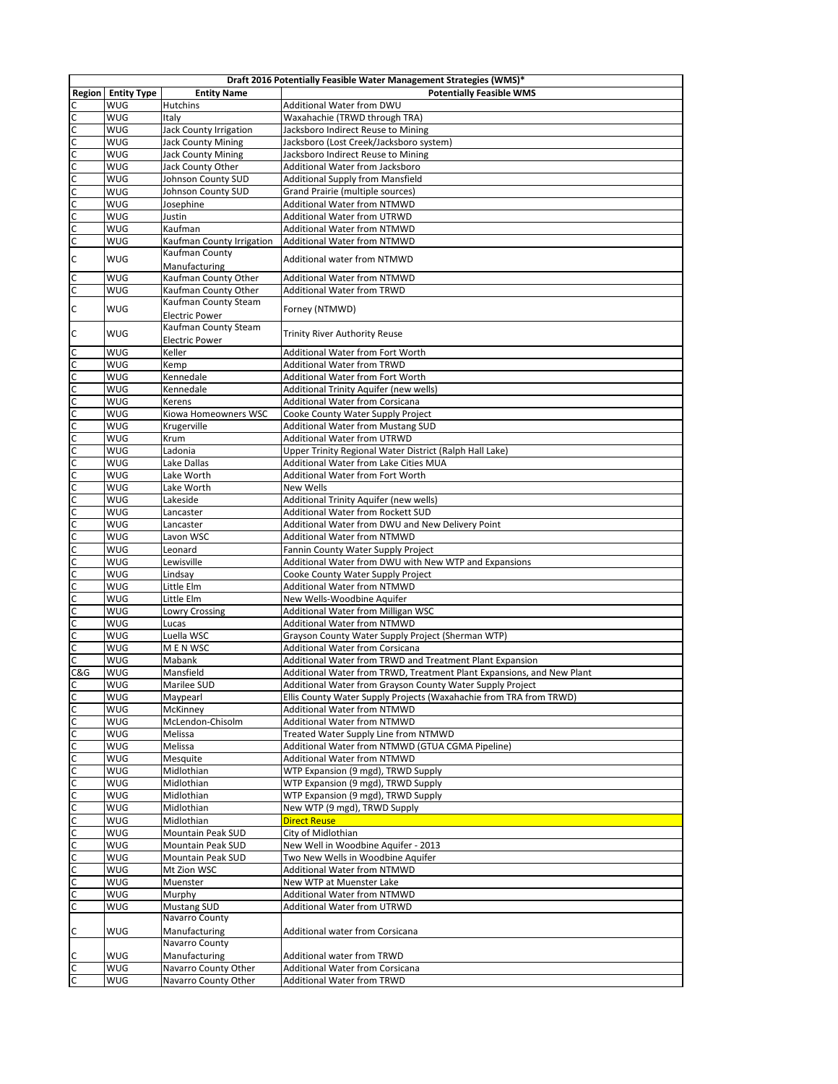| Draft 2016 Potentially Feasible Water Management Strategies (WMS)* |                    |                                       |                                                                        |
|--------------------------------------------------------------------|--------------------|---------------------------------------|------------------------------------------------------------------------|
| Region                                                             | <b>Entity Type</b> | <b>Entity Name</b>                    | <b>Potentially Feasible WMS</b>                                        |
|                                                                    | WUG                | Hutchins                              | Additional Water from DWU                                              |
|                                                                    | WUG                | Italy                                 | Waxahachie (TRWD through TRA)                                          |
|                                                                    | WUG                | Jack County Irrigation                | Jacksboro Indirect Reuse to Mining                                     |
| $\mathsf{C}$                                                       | WUG                | <b>Jack County Mining</b>             | Jacksboro (Lost Creek/Jacksboro system)                                |
| $\frac{c}{c}$                                                      | WUG                | <b>Jack County Mining</b>             | Jacksboro Indirect Reuse to Mining                                     |
|                                                                    | WUG                | Jack County Other                     | Additional Water from Jacksboro                                        |
| c<br>C                                                             | WUG                | Johnson County SUD                    | <b>Additional Supply from Mansfield</b>                                |
|                                                                    | WUG<br>WUG         | Johnson County SUD<br>Josephine       | Grand Prairie (multiple sources)<br><b>Additional Water from NTMWD</b> |
| C<br>C                                                             | WUG                | Justin                                | <b>Additional Water from UTRWD</b>                                     |
|                                                                    | WUG                | Kaufman                               | Additional Water from NTMWD                                            |
| c<br>C                                                             | WUG                | Kaufman County Irrigation             | <b>Additional Water from NTMWD</b>                                     |
| $\mathsf{C}$                                                       | WUG                | Kaufman County                        | Additional water from NTMWD                                            |
|                                                                    | WUG                | Manufacturing<br>Kaufman County Other | Additional Water from NTMWD                                            |
| olo                                                                | WUG                | Kaufman County Other                  | Additional Water from TRWD                                             |
|                                                                    |                    | Kaufman County Steam                  |                                                                        |
| $\mathsf{C}$                                                       | WUG                | <b>Electric Power</b>                 | Forney (NTMWD)                                                         |
|                                                                    |                    | Kaufman County Steam                  |                                                                        |
| $\mathsf{C}$                                                       | WUG                | <b>Electric Power</b>                 | <b>Trinity River Authority Reuse</b>                                   |
|                                                                    | WUG                | Keller                                | <b>Additional Water from Fort Worth</b>                                |
|                                                                    | WUG                | Kemp                                  | <b>Additional Water from TRWD</b>                                      |
|                                                                    | WUG                | Kennedale                             | Additional Water from Fort Worth                                       |
|                                                                    | WUG                | Kennedale                             | Additional Trinity Aquifer (new wells)                                 |
|                                                                    | WUG                | Kerens                                | <b>Additional Water from Corsicana</b>                                 |
|                                                                    | WUG                | Kiowa Homeowners WSC                  | Cooke County Water Supply Project                                      |
|                                                                    | WUG                | Krugerville                           | Additional Water from Mustang SUD                                      |
|                                                                    | WUG                | Krum                                  | <b>Additional Water from UTRWD</b>                                     |
|                                                                    | WUG                | Ladonia                               | Upper Trinity Regional Water District (Ralph Hall Lake)                |
|                                                                    | WUG                | Lake Dallas                           | Additional Water from Lake Cities MUA                                  |
|                                                                    | WUG                | Lake Worth                            | Additional Water from Fort Worth<br><b>New Wells</b>                   |
|                                                                    | WUG<br>WUG         | Lake Worth<br>Lakeside                | Additional Trinity Aquifer (new wells)                                 |
|                                                                    | WUG                | Lancaster                             | Additional Water from Rockett SUD                                      |
|                                                                    | WUG                | Lancaster                             | Additional Water from DWU and New Delivery Point                       |
|                                                                    | WUG                | Lavon WSC                             | Additional Water from NTMWD                                            |
|                                                                    | WUG                | Leonard                               | Fannin County Water Supply Project                                     |
|                                                                    | WUG                | Lewisville                            | Additional Water from DWU with New WTP and Expansions                  |
|                                                                    | WUG                | Lindsay                               | Cooke County Water Supply Project                                      |
|                                                                    | WUG                | Little Elm                            | <b>Additional Water from NTMWD</b>                                     |
|                                                                    | WUG                | Little Elm                            | New Wells-Woodbine Aquifer                                             |
|                                                                    | WUG                | <b>Lowry Crossing</b>                 | <b>Additional Water from Milligan WSC</b>                              |
|                                                                    | WUG                | Lucas                                 | Additional Water from NTMWD                                            |
|                                                                    | WUG                | Luella WSC                            | Grayson County Water Supply Project (Sherman WTP)                      |
| $\overline{c}$                                                     | WUG                | M E N WSC                             | <b>Additional Water from Corsicana</b>                                 |
| c                                                                  | WUG                | Mabank                                | Additional Water from TRWD and Treatment Plant Expansion               |
| C&G                                                                | <b>WUG</b>         | Mansfield                             | Additional Water from TRWD, Treatment Plant Expansions, and New Plant  |
| $\mathsf{C}$                                                       | <b>WUG</b>         | Marilee SUD                           | Additional Water from Grayson County Water Supply Project              |
|                                                                    | WUG                | Maypearl                              | Ellis County Water Supply Projects (Waxahachie from TRA from TRWD)     |
|                                                                    | WUG<br>WUG         | McKinney<br>McLendon-Chisolm          | Additional Water from NTMWD<br>Additional Water from NTMWD             |
|                                                                    | WUG                | Melissa                               | Treated Water Supply Line from NTMWD                                   |
|                                                                    | WUG                | Melissa                               | Additional Water from NTMWD (GTUA CGMA Pipeline)                       |
|                                                                    | WUG                | Mesquite                              | Additional Water from NTMWD                                            |
|                                                                    | WUG                | Midlothian                            | WTP Expansion (9 mgd), TRWD Supply                                     |
|                                                                    | WUG                | Midlothian                            | WTP Expansion (9 mgd), TRWD Supply                                     |
|                                                                    | WUG                | Midlothian                            | WTP Expansion (9 mgd), TRWD Supply                                     |
|                                                                    | WUG                | Midlothian                            | New WTP (9 mgd), TRWD Supply                                           |
|                                                                    | WUG                | Midlothian                            | <b>Direct Reuse</b>                                                    |
| ulululululululululululululululu                                    | WUG                | Mountain Peak SUD                     | City of Midlothian                                                     |
|                                                                    | WUG                | <b>Mountain Peak SUD</b>              | New Well in Woodbine Aquifer - 2013                                    |
|                                                                    | WUG                | Mountain Peak SUD                     | Two New Wells in Woodbine Aquifer                                      |
|                                                                    | WUG                | Mt Zion WSC                           | Additional Water from NTMWD                                            |
|                                                                    | WUG                | Muenster                              | New WTP at Muenster Lake                                               |
|                                                                    | WUG                | Murphy                                | <b>Additional Water from NTMWD</b>                                     |
|                                                                    | WUG                | <b>Mustang SUD</b>                    | Additional Water from UTRWD                                            |
|                                                                    |                    | Navarro County                        |                                                                        |
| $\mathsf{C}$                                                       | WUG                | Manufacturing<br>Navarro County       | Additional water from Corsicana                                        |
|                                                                    | WUG                | Manufacturing                         | Additional water from TRWD                                             |
|                                                                    | WUG                | Navarro County Other                  | Additional Water from Corsicana                                        |
| uuu                                                                | WUG                | Navarro County Other                  | Additional Water from TRWD                                             |
|                                                                    |                    |                                       |                                                                        |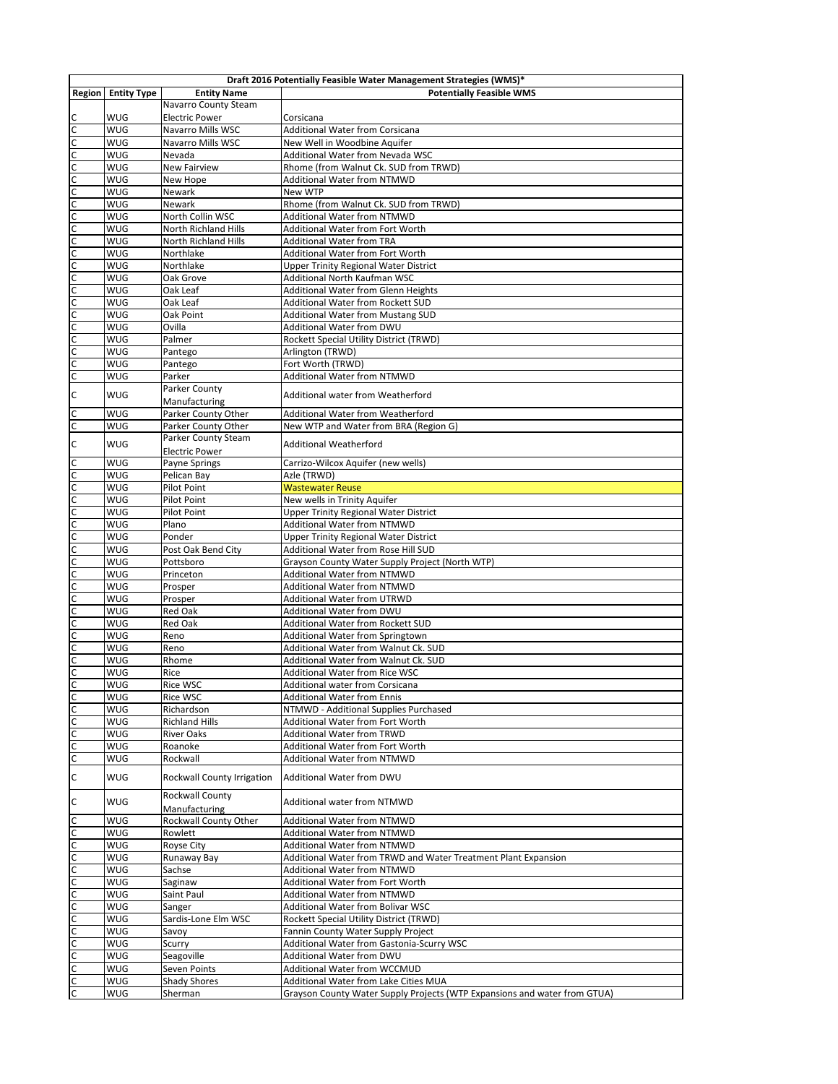| Draft 2016 Potentially Feasible Water Management Strategies (WMS)* |                    |                             |                                                                           |
|--------------------------------------------------------------------|--------------------|-----------------------------|---------------------------------------------------------------------------|
| <b>Region</b>                                                      | <b>Entity Type</b> | <b>Entity Name</b>          | <b>Potentially Feasible WMS</b>                                           |
|                                                                    |                    | Navarro County Steam        |                                                                           |
| C                                                                  | WUG                | <b>Electric Power</b>       | Corsicana                                                                 |
|                                                                    | WUG                | <b>Navarro Mills WSC</b>    | Additional Water from Corsicana                                           |
|                                                                    | WUG                | <b>Navarro Mills WSC</b>    | New Well in Woodbine Aquifer                                              |
|                                                                    | WUG                | Nevada                      | Additional Water from Nevada WSC                                          |
|                                                                    | WUG                | <b>New Fairview</b>         | Rhome (from Walnut Ck. SUD from TRWD)                                     |
|                                                                    | WUG                | New Hope                    | <b>Additional Water from NTMWD</b>                                        |
|                                                                    | WUG                | Newark                      | New WTP                                                                   |
|                                                                    | WUG                | Newark                      | Rhome (from Walnut Ck. SUD from TRWD)                                     |
|                                                                    | WUG                | North Collin WSC            | <b>Additional Water from NTMWD</b>                                        |
|                                                                    | WUG                | North Richland Hills        | <b>Additional Water from Fort Worth</b>                                   |
|                                                                    | WUG                | <b>North Richland Hills</b> | <b>Additional Water from TRA</b>                                          |
|                                                                    | WUG                | Northlake                   | Additional Water from Fort Worth                                          |
|                                                                    | WUG                | Northlake                   | <b>Upper Trinity Regional Water District</b>                              |
|                                                                    | WUG                | Oak Grove                   | Additional North Kaufman WSC                                              |
|                                                                    | WUG                | Oak Leaf                    | <b>Additional Water from Glenn Heights</b>                                |
|                                                                    | WUG                | Oak Leaf                    | Additional Water from Rockett SUD                                         |
|                                                                    | WUG                | Oak Point                   | <b>Additional Water from Mustang SUD</b>                                  |
|                                                                    | WUG                | Ovilla                      | Additional Water from DWU                                                 |
|                                                                    | WUG                | Palmer                      | Rockett Special Utility District (TRWD)                                   |
|                                                                    | WUG                | Pantego                     | Arlington (TRWD)                                                          |
|                                                                    | WUG                | Pantego                     | Fort Worth (TRWD)                                                         |
|                                                                    | WUG                | Parker                      | <b>Additional Water from NTMWD</b>                                        |
| $\mathsf C$                                                        | WUG                | Parker County               | Additional water from Weatherford                                         |
|                                                                    |                    | Manufacturing               |                                                                           |
| $rac{C}{C}$                                                        | WUG                | Parker County Other         | Additional Water from Weatherford                                         |
|                                                                    | WUG                | Parker County Other         | New WTP and Water from BRA (Region G)                                     |
| $\mathsf C$                                                        | WUG                | Parker County Steam         | <b>Additional Weatherford</b>                                             |
|                                                                    |                    | <b>Electric Power</b>       |                                                                           |
| $\overline{c}$                                                     | WUG                | Payne Springs               | Carrizo-Wilcox Aquifer (new wells)                                        |
|                                                                    | WUG                | Pelican Bay                 | Azle (TRWD)                                                               |
|                                                                    | WUG                | Pilot Point                 | <b>Wastewater Reuse</b>                                                   |
|                                                                    | WUG                | Pilot Point                 | New wells in Trinity Aquifer                                              |
|                                                                    | WUG                | Pilot Point                 | <b>Upper Trinity Regional Water District</b>                              |
|                                                                    | WUG                | Plano                       | <b>Additional Water from NTMWD</b>                                        |
| ulululululululululululululu                                        | WUG                | Ponder                      | <b>Upper Trinity Regional Water District</b>                              |
|                                                                    | WUG                | Post Oak Bend City          | Additional Water from Rose Hill SUD                                       |
|                                                                    | WUG                | Pottsboro                   | Grayson County Water Supply Project (North WTP)                           |
|                                                                    | WUG                | Princeton                   | <b>Additional Water from NTMWD</b>                                        |
|                                                                    | WUG                | Prosper                     | <b>Additional Water from NTMWD</b>                                        |
|                                                                    | WUG                | Prosper                     | <b>Additional Water from UTRWD</b>                                        |
|                                                                    | WUG                | Red Oak                     | <b>Additional Water from DWU</b>                                          |
|                                                                    | WUG                | Red Oak                     | Additional Water from Rockett SUD                                         |
|                                                                    | WUG                | Reno                        | Additional Water from Springtown                                          |
|                                                                    | WUG                | Reno                        | Additional Water from Walnut Ck. SUD                                      |
|                                                                    | WUG                | Rhome                       | Additional Water from Walnut Ck. SUD                                      |
|                                                                    | WUG                | Rice                        | Additional Water from Rice WSC                                            |
| $\overline{\mathsf{c}}$                                            | WUG                | Rice WSC                    | Additional water from Corsicana                                           |
|                                                                    | WUG                | Rice WSC                    | <b>Additional Water from Ennis</b>                                        |
| u u u u u                                                          | WUG                | Richardson                  | NTMWD - Additional Supplies Purchased                                     |
|                                                                    | WUG                | <b>Richland Hills</b>       | Additional Water from Fort Worth                                          |
|                                                                    | WUG                | <b>River Oaks</b>           | <b>Additional Water from TRWD</b>                                         |
|                                                                    | WUG                | Roanoke                     | Additional Water from Fort Worth                                          |
|                                                                    | WUG                | Rockwall                    | <b>Additional Water from NTMWD</b>                                        |
| $\mathsf C$                                                        | WUG                | Rockwall County Irrigation  | <b>Additional Water from DWU</b>                                          |
|                                                                    |                    | Rockwall County             |                                                                           |
| $\mathsf C$                                                        | WUG                | Manufacturing               | Additional water from NTMWD                                               |
| С                                                                  | WUG                | Rockwall County Other       | <b>Additional Water from NTMWD</b>                                        |
| $\mathsf{C}$                                                       | WUG                | Rowlett                     | <b>Additional Water from NTMWD</b>                                        |
| C                                                                  | WUG                | Royse City                  | Additional Water from NTMWD                                               |
| $\mathsf{C}$                                                       | WUG                | Runaway Bay                 | Additional Water from TRWD and Water Treatment Plant Expansion            |
| $\mathsf{C}$                                                       | WUG                | Sachse                      | Additional Water from NTMWD                                               |
| $\mathsf{C}$                                                       | WUG                | Saginaw                     | Additional Water from Fort Worth                                          |
| $\overline{C}$                                                     | WUG                | Saint Paul                  | Additional Water from NTMWD                                               |
| $\mathsf{C}$                                                       | WUG                | Sanger                      | Additional Water from Bolivar WSC                                         |
| $\mathsf{C}$                                                       | WUG                | Sardis-Lone Elm WSC         | Rockett Special Utility District (TRWD)                                   |
| $\mathsf{C}$                                                       | WUG                | Savoy                       | Fannin County Water Supply Project                                        |
| $\mathsf{C}$                                                       | WUG                | Scurry                      | Additional Water from Gastonia-Scurry WSC                                 |
| $\mathsf{C}$                                                       | WUG                | Seagoville                  | Additional Water from DWU                                                 |
| $\mathsf{C}$                                                       | WUG                | Seven Points                | Additional Water from WCCMUD                                              |
| $\mathsf{C}$                                                       | WUG                | <b>Shady Shores</b>         | Additional Water from Lake Cities MUA                                     |
| $\overline{c}$                                                     | WUG                | Sherman                     | Grayson County Water Supply Projects (WTP Expansions and water from GTUA) |